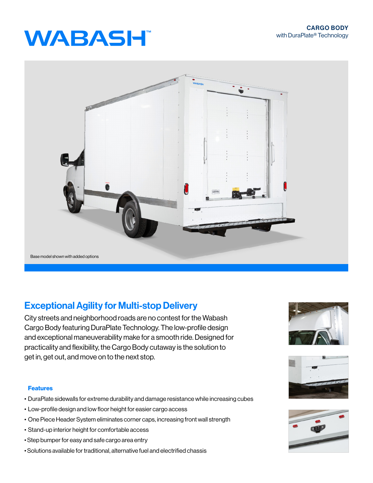# **WABASH**



## Exceptional Agility for Multi-stop Delivery

City streets and neighborhood roads are no contest for the Wabash Cargo Body featuring DuraPlate Technology. The low-profile design and exceptional maneuverability make for a smooth ride. Designed for practicality and flexibility, the Cargo Body cutaway is the solution to get in, get out, and move on to the next stop.

### Features

- DuraPlate sidewalls for extreme durability and damage resistance while increasing cubes
- Low-profile design and low floor height for easier cargo access
- One Piece Header System eliminates corner caps, increasing front wall strength
- Stand-up interior height for comfortable access
- Step bumper for easy and safe cargo area entry
- Solutions available for traditional, alternative fuel and electrified chassis